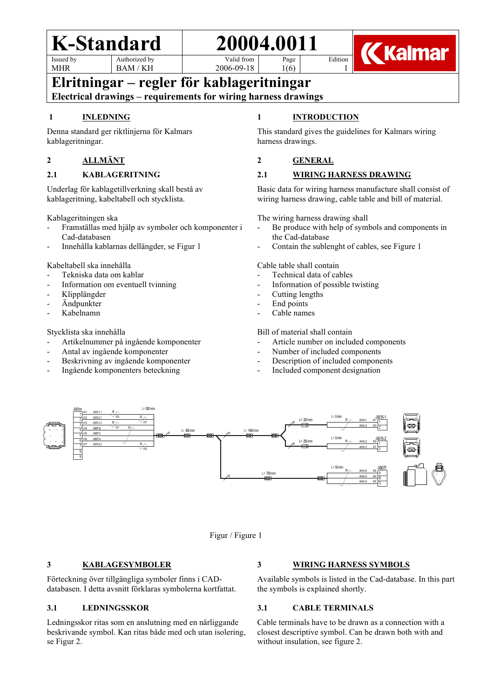## **K-Standard 20004.0011** Issued by

MHR

Authorized by BAM / KH

Valid from 2006-09-18 Page 1(6)

Edition 1



# **Elritningar – regler för kablageritningar**

**Electrical drawings – requirements for wiring harness drawings**

#### **1 INLEDNING**

Denna standard ger riktlinjerna för Kalmars kablageritningar.

### **2 ALLMÄNT**

#### **2.1 KABLAGERITNING**

Underlag för kablagetillverkning skall bestå av kablageritning, kabeltabell och stycklista.

Kablageritningen ska

- Framställas med hjälp av symboler och komponenter i Cad-databasen
- Innehålla kablarnas dellängder, se Figur 1

Kabeltabell ska innehålla

- Tekniska data om kablar
- Information om eventuell tvinning
- Klipplängder
- Ändpunkter
- Kabelnamn

Stycklista ska innehålla

- Artikelnummer på ingående komponenter
- Antal av ingående komponenter
- Beskrivning av ingående komponenter
- Ingående komponenters beteckning

## **1 INTRODUCTION**

This standard gives the guidelines for Kalmars wiring harness drawings.

#### **2 GENERAL**

#### **2.1 WIRING HARNESS DRAWING**

Basic data for wiring harness manufacture shall consist of wiring harness drawing, cable table and bill of material.

The wiring harness drawing shall

- Be produce with help of symbols and components in the Cad-database
- Contain the sublenght of cables, see Figure 1

Cable table shall contain

- Technical data of cables
- Information of possible twisting
- Cutting lengths
- End points
- Cable names

Bill of material shall contain

- Article number on included components
- Number of included components
- Description of included components
- Included component designation



Figur / Figure 1

#### **3 KABLAGESYMBOLER**

Förteckning över tillgängliga symboler finns i CADdatabasen. I detta avsnitt förklaras symbolerna kortfattat.

#### **3.1 LEDNINGSSKOR**

Ledningsskor ritas som en anslutning med en närliggande beskrivande symbol. Kan ritas både med och utan isolering, se Figur 2.

#### **3 WIRING HARNESS SYMBOLS**

Available symbols is listed in the Cad-database. In this part the symbols is explained shortly.

#### **3.1 CABLE TERMINALS**

Cable terminals have to be drawn as a connection with a closest descriptive symbol. Can be drawn both with and without insulation, see figure 2.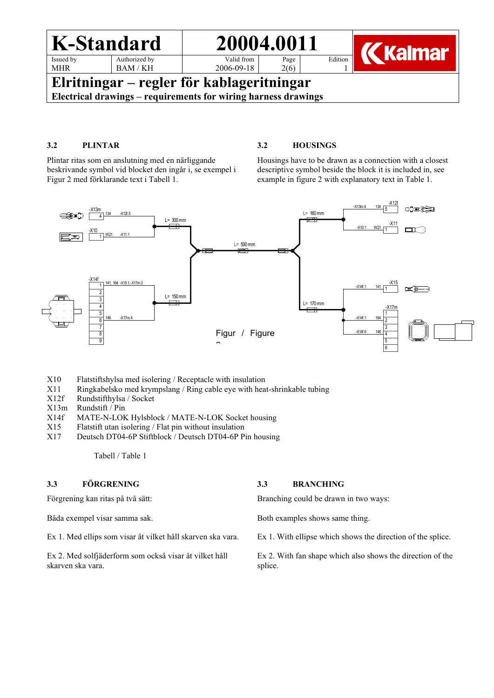# **K-Standard 20004.0011**

Edition 1

**K** Kalmar

Issued by MHR

Authorized by BAM / KH

Valid from 2006-09-18 Page 2(6)

# **Elritningar – regler för kablageritningar**

**Electrical drawings – requirements for wiring harness drawings**

#### **3.2 PLINTAR**

Plintar ritas som en anslutning med en närliggande beskrivande symbol vid blocket den ingår i, se exempel i Figur 2 med förklarande text i Tabell 1.

### **3.2 HOUSINGS**

Housings have to be drawn as a connection with a closest descriptive symbol beside the block it is included in, see example in figure 2 with explanatory text in Table 1.



- X10 Flatstiftshylsa med isolering / Receptacle with insulation<br>X11 Ringkabelsko med krympslang / Ring cable eve with hea
- Ringkabelsko med krympslang / Ring cable eye with heat-shrinkable tubing
- X12f Rundstifthylsa / Socket
- 
- X13m Rundstift / Pin<br>X14f MATE-N-LOW MATE-N-LOK Hylsblock / MATE-N-LOK Socket housing
- X15 Flatstift utan isolering / Flat pin without insulation
- X17 Deutsch DT04-6P Stiftblock / Deutsch DT04-6P Pin housing

Tabell / Table 1

#### **3.3 FÖRGRENING**

Förgrening kan ritas på två sätt:

Båda exempel visar samma sak.

Ex 1. Med ellips som visar åt vilket håll skarven ska vara.

Ex 2. Med solfjäderform som också visar åt vilket håll skarven ska vara.

#### **3.3 BRANCHING**

Branching could be drawn in two ways:

Both examples shows same thing.

Ex 1. With ellipse which shows the direction of the splice.

Ex 2. With fan shape which also shows the direction of the splice.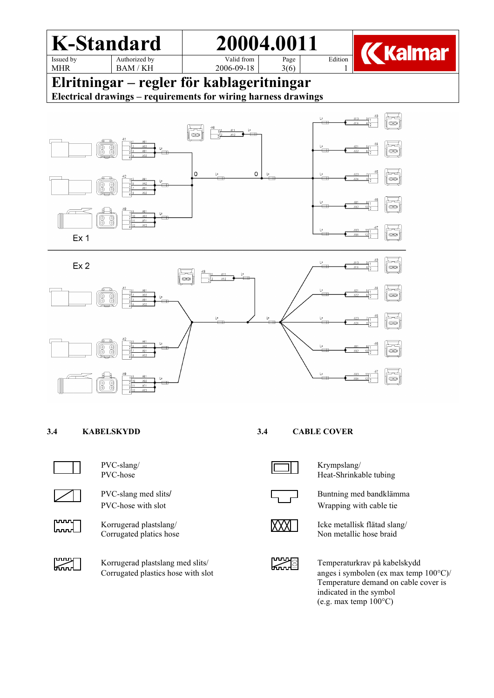

**Electrical drawings – requirements for wiring harness drawings**



**3.4 KABELSKYDD 3.4 CABLE COVER**



 $\begin{bmatrix} 1 & 0 & 0 \\ 0 & 0 & 0 \\ 0 & 0 & 0 \end{bmatrix}$ 

**RANT** 

| PVC-slang/<br>PVC-hose                            |
|---------------------------------------------------|
| PVC-slang med slits/<br>PVC-hose with slot        |
| Korrugerad plastslang/<br>Corrugated platics hose |
| Korrugerad plastslang me                          |



Krympslang/ Heat-Shrinkable tubing



Buntning med bandklämma Wrapping with cable tie



 $\chi$  $\chi$  $\chi$  Icke metallisk flätad slang/ Non metallic hose braid

ed slits/ Temperaturkrav på kabelskydd Corrugated plastics hose with slot anges i symbolen (ex max temp  $100^{\circ}$ C)/ Temperature demand on cable cover is indicated in the symbol (e.g. max temp 100°C)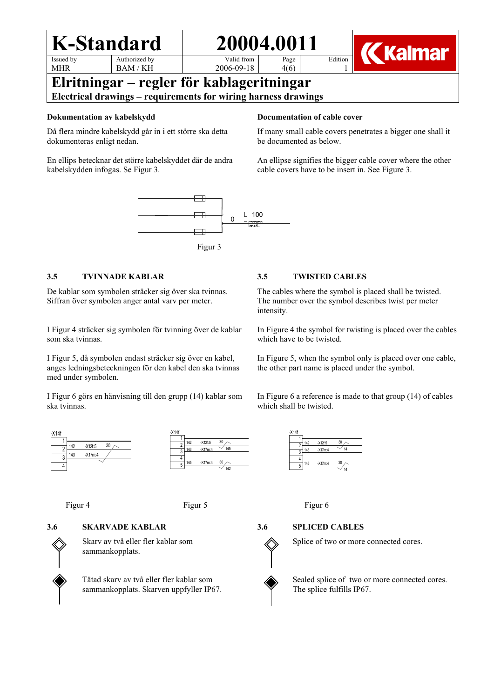#### **K-Standard 20004.0011** Issued by Authorized by

# Page

4(6)

Valid from 2006-09-18

Edition

1



**Elritningar – regler för kablageritningar**

**Electrical drawings – requirements for wiring harness drawings**

#### **Dokumentation av kabelskydd**

MHR

Då flera mindre kabelskydd går in i ett större ska detta dokumenteras enligt nedan.

BAM / KH

En ellips betecknar det större kabelskyddet där de andra kabelskydden infogas. Se Figur 3.



Figur 3

#### **3.5 TVINNADE KABLAR**

De kablar som symbolen sträcker sig över ska tvinnas. Siffran över symbolen anger antal varv per meter.

I Figur 4 sträcker sig symbolen för tvinning över de kablar som ska tvinnas.

I Figur 5, då symbolen endast sträcker sig över en kabel, anges ledningsbeteckningen för den kabel den ska tvinnas med under symbolen.

I Figur 6 görs en hänvisning till den grupp (14) kablar som ska tvinnas.





#### **3.6 SKARVADE KABLAR**



Skarv av två eller fler kablar som sammankopplats.

Tätad skarv av två eller fler kablar som sammankopplats. Skarven uppfyller IP67.

#### **Documentation of cable cover**

If many small cable covers penetrates a bigger one shall it be documented as below.

An ellipse signifies the bigger cable cover where the other cable covers have to be insert in. See Figure 3.

#### **3.5 TWISTED CABLES**

The cables where the symbol is placed shall be twisted. The number over the symbol describes twist per meter intensity.

In Figure 4 the symbol for twisting is placed over the cables which have to be twisted.

In Figure 5, when the symbol only is placed over one cable, the other part name is placed under the symbol.

In Figure 6 a reference is made to that group (14) of cables which shall be twisted.

| $-X14f$ |     |           |    |
|---------|-----|-----------|----|
|         |     |           |    |
| 2       | 142 | $-X12f:5$ | 30 |
| 3       | 143 | $-X17m:4$ | 14 |
|         |     |           |    |
|         | 145 | $-X17m:4$ | 30 |
| 5       |     |           | 14 |

Figur 4 Figur 5 Figur 5 Figur 6

#### **3.6 SPLICED CABLES**

Splice of two or more connected cores.



Sealed splice of two or more connected cores. The splice fulfills IP67.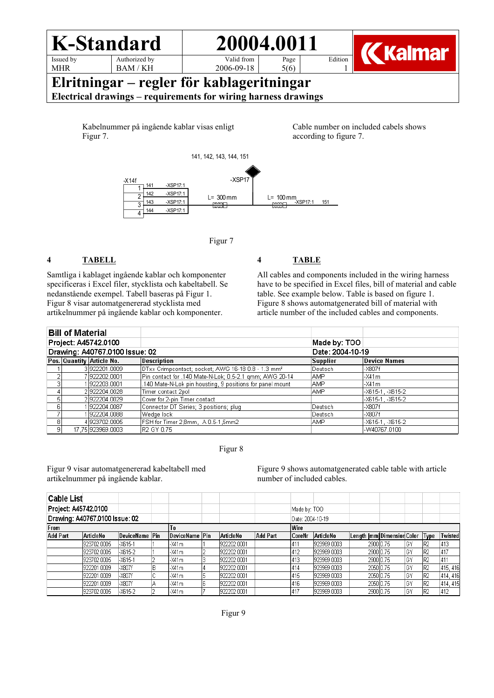# **K-Standard 20004.0011**

Edition

1



Issued by MHR

Authorized by

Valid from

BAM / KH

Page 5(6)

## 2006-09-18 **Elritningar – regler för kablageritningar**

**Electrical drawings – requirements for wiring harness drawings**

Kabelnummer på ingående kablar visas enligt Figur 7.

Cable number on included cabels shows according to figure 7.



#### Figur 7

#### **4 TABELL**

Samtliga i kablaget ingående kablar och komponenter specificeras i Excel filer, stycklista och kabeltabell. Se nedanstående exempel. Tabell baseras på Figur 1. Figur 8 visar automatgenererad stycklista med artikelnummer på ingående kablar och komponenter.

#### **4 TABLE**

All cables and components included in the wiring harness have to be specified in Excel files, bill of material and cable table. See example below. Table is based on figure 1. Figure 8 shows automatgenerated bill of material with article number of the included cables and components.

| <b>Bill of Material</b> |  |                                |                                                                |                  |                   |  |
|-------------------------|--|--------------------------------|----------------------------------------------------------------|------------------|-------------------|--|
|                         |  | Project: A45742.0100           |                                                                | Made by: TOO     |                   |  |
|                         |  | Drawing: A40767.0100 Issue: 02 |                                                                | Date: 2004-10-19 |                   |  |
|                         |  | Pos. Quantity Article No.      | Description                                                    | Supplier         | Device Names      |  |
|                         |  | 3922201.0009                   | DTxx Crimpcontact; socket; AWG 16-18 0.8 - 1.3 mm <sup>2</sup> | Deutsch          | l-X807f           |  |
|                         |  | 7 922202.0001                  | Pin contact for .140 Mate-N-Lok; 0.5-2.1 gmm; AWG 20-14        | IAMP             | l-X41 m           |  |
| з                       |  | 922203.0001                    | .140 Mate-N-Lok pin housting, 9 positions for panel mount      | IAMP             | l-X41 m           |  |
|                         |  | 2 922204.0028                  | Timer contact 2pol                                             | IAMP             | -X615-1, -X615-2  |  |
| 51                      |  | 2922204.0029                   | Cover for 2-pin Timer contact                                  |                  | -X615-1, -X615-2  |  |
| 61                      |  | 922204.0087                    | Connector DT Series; 3 positions; plug-                        | Deutsch          | l-X807f           |  |
|                         |  | 922204.0088                    | Wedge lock                                                     | Deutsch          | l-X807f           |  |
| 8                       |  | 4 923702.0005                  | FSH for Timer 2,8mm, A 0.5-1,5mm2                              | IAMP.            | l-X615-1. -X615-2 |  |
| 9                       |  | 17,75 923969.0003              | IR2 GY 0.75                                                    |                  | -W40767.0100      |  |

#### Figur 8

Figur 9 visar automatgenererad kabeltabell med artikelnummer på ingående kablar.

Figure 9 shows automatgenerated cable table with article number of included cables.

| <b>Cable List</b>              |              |                 |   |                  |  |             |              |                  |             |                                    |  |     |     |          |
|--------------------------------|--------------|-----------------|---|------------------|--|-------------|--------------|------------------|-------------|------------------------------------|--|-----|-----|----------|
| Project: A45742.0100           |              |                 |   |                  |  |             | Made by: TOO |                  |             |                                    |  |     |     |          |
| Drawing: A40767.0100 Issue: 02 |              |                 |   |                  |  |             |              | Date: 2004-10-19 |             |                                    |  |     |     |          |
| <b>From</b>                    |              |                 |   | <b>To</b>        |  |             |              | lWire            |             |                                    |  |     |     |          |
| <b>Add Part</b>                | ArticleNo    | DeviceName  Pin |   | DeviceName Pin   |  | ArticleNo   | Add Part     | CoreNr           | ArticleNo   | Length [mm] Dimension Color   Type |  |     |     | Twisted  |
|                                | 923702.0005  | -X615-1         |   | $-X41m$          |  | 922202.0001 |              | I41 <sup>.</sup> | 923969.0003 | 2900 0.75                          |  | 1GY | IR2 | 1413     |
|                                | 923702.0005  | -X615-2         |   | $ \times$ 41 $m$ |  | 922202.0001 |              | 412              | 923969.0003 | 2900 0.75                          |  | ÍGY | IR2 | 417      |
|                                | 1923702.0005 | l-X615-1        |   | $-X41m$          |  | 922202.0001 |              | 413              | 923969.0003 | 290010.75                          |  | lGY | IR2 | 411      |
|                                | 922201.0009  | l-X807f         | B | -X41m            |  | 922202.0001 |              | 414              | 923969.0003 | 205010.75                          |  | lG٧ | IR2 | 415, 416 |
|                                | 922201.0009  | l-X807f         |   | -X41m            |  | 922202.0001 |              | 415              | 923969.0003 | 205010.75                          |  | lgy | lR2 | 414, 416 |
|                                | 922201.0009  | -X807f          |   | $-X41m$          |  | 922202.0001 |              | 416              | 923969.0003 | 2050 0.75                          |  | lGY | lR2 | 414, 415 |
|                                | 923702.0005  | l-X615-2        |   | -X41m            |  | 922202.0001 |              | 1417             | 923969.0003 | 2900 0.75                          |  | lGY | IR2 | 412      |